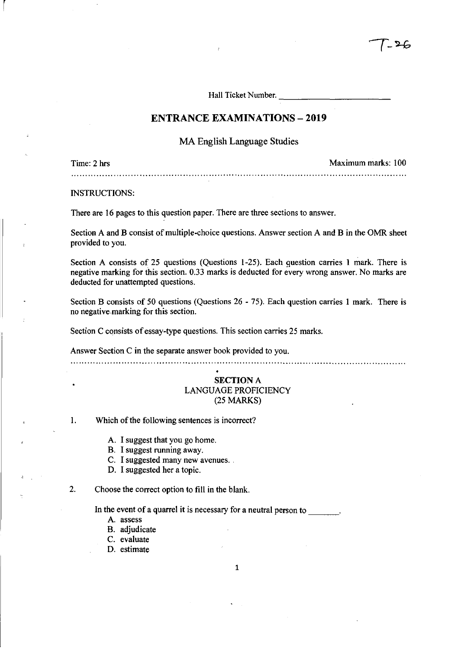Hall Ticket Number.

## **ENTRANCE EXAMINATIONS - 2019**

MA English Language Studies

Time: 2 hrs Maximum marks: 100 

INSTRUCTIONS:

 $\lceil$ 

There are 16 pages to this question paper. There are three sections to answer.

Section A and B consist of multiple-choice questions. Answer section A and B in the OMR sheet provided to you. .

Section A consists of 25 questions (Questions 1-25). Each guestion carries 1 mark. There is negative marking for this section. 0.33 marks is deducted for every wrong answer. No marks are deducted for unattempted questions.

Section B consists of 50 questions (Questions 26 - 75). Each question carries 1 mark. There is no negative.marking for this section.

Section C consists of essay-type questions. This section carries 25 marks.

Answer Section C in the separate answer book provided to you.

## SECTION A LANGUAGE PROFICIENCY (25 MARKS)

1. Which of the following sentences is incorrect?

A. I suggest that you go home.

B. I suggest running away.

C. I suggested many new avenues.

D. I suggested her a topic.

2. Choose the correct option to fill in the blank.

In the event of a quarrel it is necessary for a neutral person to

- A. assess
- B. adjudicate
- C. evaluate
- D. estimate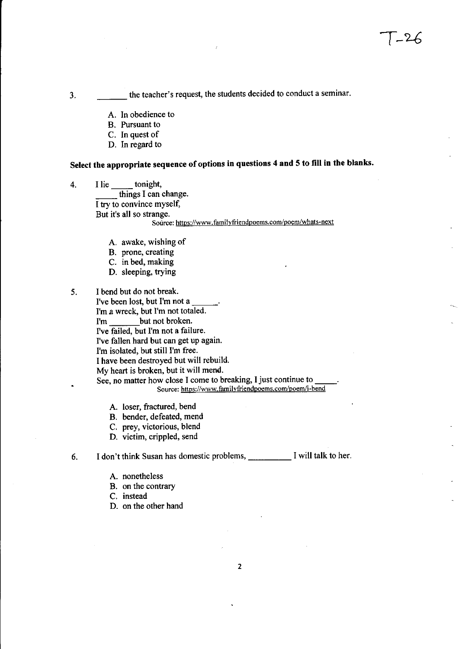3. \_\_\_ the teacher's request, the students decided to conduct a seminar.

- A. In obedience to
- B. Pursuant to
- C. In quest of
- D. In regard to

# Select the appropriate sequence of options in questions 4 and 5 to fill in the blanks.

- 4. I lie \_\_\_\_\_ tonight, things I can change. I try to convince myself, But it's all so strange. Source: https://www.familyfriendpoems.com/poem/whats-next
	- A. awake, wishing of
	- B. prone, creating
	- C. in bed, making
	- D. sleeping, trying
- 5. I bend but do not break. I've been lost, but I'm not a I'm a wreck, but I'm not totaled. I'm but not broken. I've failed, but I'm not a failure. I've fallen hard but can get up again. I'm isolated, but still I'm free. I have been destroyed but will rebuild. My heart is broken, but it will mend. See, no matter how close I come to breaking, I just continue to Source: https://www.familyfriendpoems.com/poem/i-bend
	- A. loser, fractured, bend
	- B. bender, defeated, mend
	- C. prey, victorious, blend
	- D. victim, crippled, send

6. I don't think Susan has domestic problems, \_\_\_\_ I will talk to her.

- A. nonetheless
- B. on the contrary

C. instead

D. on the other hand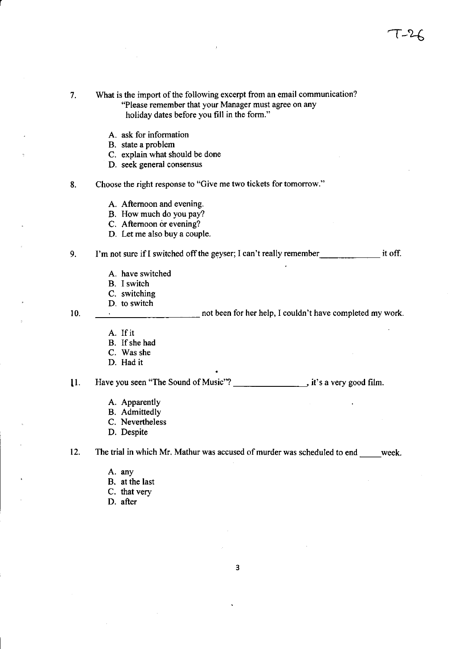7. What is the import of the following excerpt from an email communication? "Please remember that your Manager must agree on any holiday dates before you fill in the form." A. ask for information B. state a problem C. explain what should be done D. seek general consensus 8. Choose the right response to "Give me two tickets for tomorrow." A. Afternoon and evening. B. How much do you pay? C. Afternoon or evening? D. Let me also buy a couple. 9. I'm not sure if I switched off the geyser; I can't really remember \_\_\_\_\_\_\_\_\_\_\_\_\_\_\_\_ it off. A. have switched B. I switch C. switching D. to switch 10. The contract of the most been for her help, I couldn't have completed my work. A. If it B. If she had C. Was she D. Had it 11. Have you seen "The Sound of Music"? \_\_\_\_\_\_\_\_\_\_\_\_\_\_\_, it's a very good film. A. Apparently B. Admittedly C. Nevertheless D. Despite 12. The trial in which Mr. Mathur was accused of murder was scheduled to end week. A. any B. at the last C. that very D. after

r

3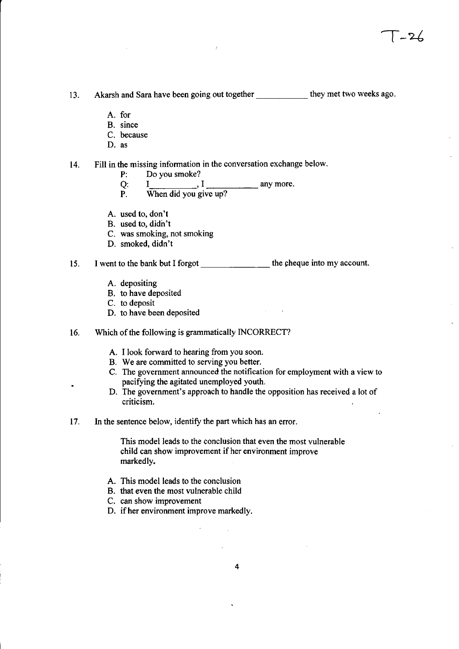13. Akarsh and Sara have been going out together \_\_\_\_\_\_\_\_\_\_ they met two weeks ago.

- A. for
- B. since
- C. because
- D. as

14. Fill in the missing information in the conversation exchange below.

- P: Do you smoke?
- $Q: I$  any more.
- P. When did you give up?
- A. used to, don't
- B. used to, didn't
- c. was smoking, not smoking
- D. smoked, didn't

15. I went to the bank but I forgot the summary the cheque into my account.

- A. depositing
- B. to have deposited
- C. to deposit
- D. to have been deposited

#### 16. Which of the following is grammatically INCORRECT?

- A. I look forward to hearing from you soon.
- B. We are committed to serving you better.
- C. The government announced the notification for employment with a view to pacifying the agitated unemployed youth.
- D. The government's approach to handle the opposition has received a lot of criticism.
- 17. In the sentence below, identify the part which has an error.

This model leads to the conclusion that even the most vulnerable child can show improvement ifher environment improve markedly.

- A. This model leads to the conclusion
- B. that even the most vulnerable child
- C. can show improvement
- D. if her environment improve markedly.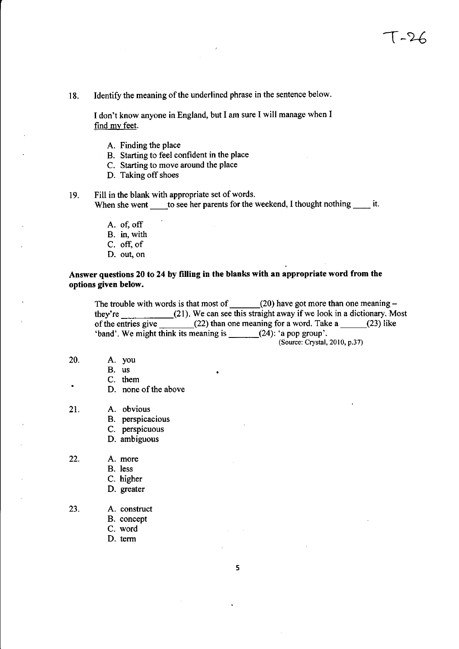18. Identify the meaning of the underlined phrase in the sentence below.

I don't know anyone in England, but I am sure I will manage when I find my feet.

- A. Finding the place
- B. Starting to feel confident in the place
- C. Starting to move around the place
- D. Taking off shoes
- 19. Fill in the blank with appropriate set of words. When she went to see her parents for the weekend, I thought nothing  $\frac{1}{\sqrt{1-x^2}}$  it.
	- A. of, off
	- B. in, with
	- C. off, of
	- D. out, on

## Answer questions 20 to 24 by filling in the blanks with an appropriate word from the options given below.

The trouble with words is that most of  $\qquad \qquad$  (20) have got more than one meaning  $$ they're (21). We can see this straight away if we look in a dictionary. Most of the entries give  $(22)$  than one meaning for a word. Take a  $(23)$  like 'band'. We might think its meaning is \_\_\_\_\_\_(24): 'a pop group'.

(Source: Crystal, 2010, p.37)

- 20. A. you
	- B. us
	- C. them
	- D. none of the above
- 21. A. obvious
	- B. perspicacious
	- C. perspicuous
	- D. ambiguous
- 22. A. more
	- B. less
	- C. higher
	- D. greater
- 23. A. construct
	- B. concept
	- C. word
	- D. term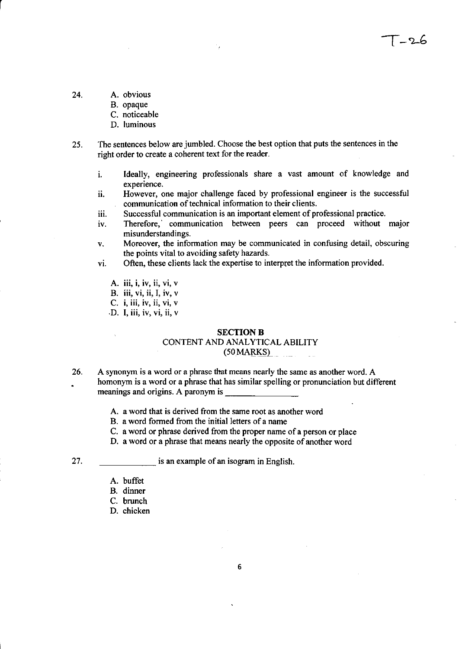<u>- 26 - </u>

24. A. obvious

r

- B. opaque
- C. noticeable
- D. luminous
- 25. The sentences below are jumbled. Choose the best option that puts the sentences in the right order to create a coherent text for the reader.
	- 1. Ideally, engineering professionals share a vast amount of knowledge and experience.
	- ii. However, one major challenge faced by professional engineer is the successful communication of technical information to their clients.
	- iii. Successful communication is an important element of professional practice.
	- iv. Therefore, communication between peers can proceed without major misunderstandings.
	- v. Moreover, the information may be communicated in confusing detail, obscuring the points vital to avoiding safety hazards.
	- VI. Often, these clients lack the expertise to interpret the information provided.
		- **A. iii, i, iv, ii, vi, v**
		- **B. iii, vi, ii, I, iv, v**
		- **c. i, iii, iv, ii, vi, v**
		- **·D. I, iii, iv, vi, ii, v**

#### **SECTION B**

# CONTENT AND ANALYTICAL ABILITY

# $(50$  MARKS $)$

- 26. A synonym is a word or a phrase that means nearly the same as another word. A homonym is a word or a phrase that has similar spelling or pronunciation but different meanings and origins. A paronym is
	- A. a word that is derived from the same root as another word
	- B. a word formed from the initial letters of a name
	- C. a word or phrase derived from the proper name of a person or place
	- D. a word or a phrase that means nearly the opposite of another word
	-

27. **Example of an isogram in English.** 

- A. buffet
- B. dinner
- C. brunch
- D. chicken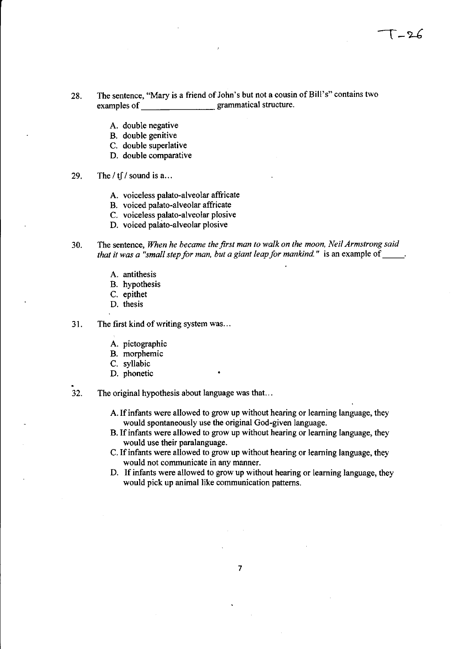- 28. The sentence, "Mary is a friend of John's but not a cousin of Bill's" contains two examples of grammatical structure.
	- A. double negative
	- B. double genitive
	- C. double superlative
	- D. double comparative
- 29. The  $/\text{tf}/$  sound is a...
	- A. voiceless palato-alveolar affricate
	- B. voiced palato-alveolar affricate
	- C. voiceless palato-alveolar plosive
	- D. voiced palato-alveolar plosive
- 30. The sentence, *When he became the first man to walk on the moon, Neil Armstrong said that it was a "small step for man, but a giant leap for mankind."* is an example of \_\_\_\_.
	- A. antithesis
	- B. hypothesis
	- C. epithet
	- D. thesis
- 31. The first kind of writing system was ...
	- A. pictographic
	- B. morphemic
	- C. syllabic
	- D. phonetic
- 32. The original hypothesis about language was that. ..
	- A. If infants were allowed to grow up without hearing or learning language, they would spontaneously use the original God-given language.
	- B. If infants were allowed to grow up without hearing or learning language, they would use their paralanguage.
	- C. If infants were allowed to grow up without hearing or learning language, they would not communicate in any manner.
	- D. If infants were allowed to grow up without hearing or learning language, they would pick up animal like communication patterns.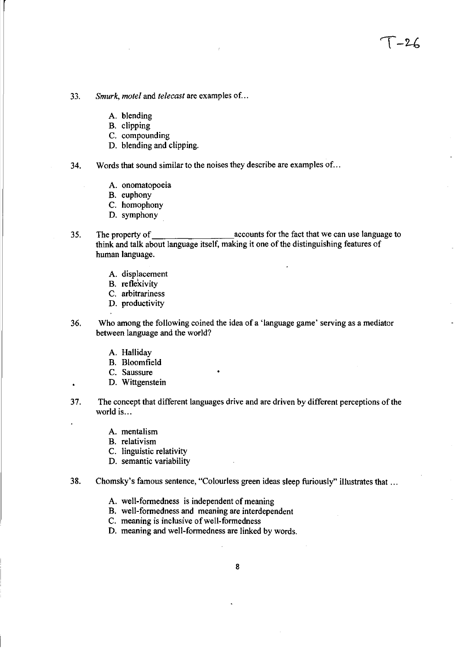- A. blending
- B. clipping
- C. compounding
- D. blending and clipping.

### 34. Words that sound similar to the noises they describe are examples of ...

- A. onomatopoeia
- B. euphony
- C. homophony
- D. symphony
- 35. The property of <u>contained accounts</u> for the fact that we can use language to think and talk about language itself, making it one of the distinguishing features of human language.

 $\sqrt{26}$ 

- A. displacement
- B. reflexivity
- C. arbitrariness
- D. productivity
- 36. Who among the following coined the idea ofa 'language game' serving as a mediator between language and the world?
	- A. Halliday
	- B. Bloomfield
	- C. Saussure

 $\bullet$ 

- D. Wittgenstein
- 37. The concept that different languages drive and are driven by different perceptions of the world is ...
	- A. mentalism
	- B. relativism
	- C. linguistic relativity
	- D. semantic variability
- 38. Chomsky's famous sentence, "Colourless green ideas sleep furiously" illustrates that ...
	- A. well-formedness is independent of meaning
	- B. well-formedness and meaning are interdependent
	- C. meaning is inclusive of well-formedness
	- D. meaning and well-formedness are linked by words.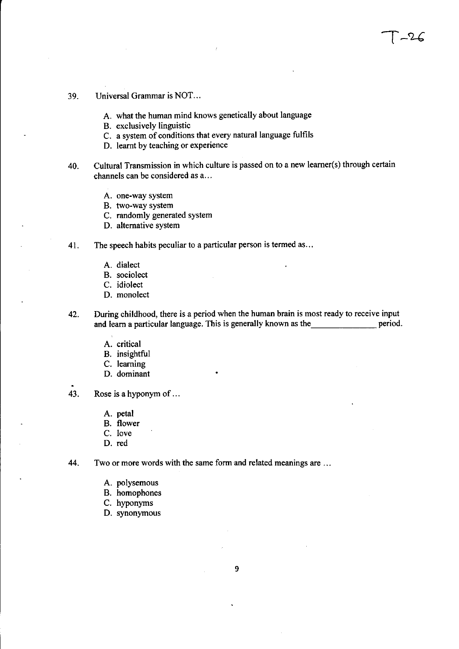- 39. Universal Grammar is NOT...
	- A. what the human mind knows genetically about language
	- B. exclusively linguistic
	- C. a system of conditions that every natural language fulfils
	- D. learnt by teaching or experience
- 40. Cultural Transmission in which culture is passed on to a new learner(s) through certain channels can be considered as a ...

 $-26$ 

- A. one-way system
- B. two-way system
- C. randomly generated system
- D. alternative system

41. The speech habits peculiar to a particular person is termed as ...

- A. dialect
- B. sociolect
- C. idiolect
- D. monolect
- 42. During childhood, there is a period when the human brain is most ready to receive input and learn a particular language. This is generally known as the period.
	- A. critical
	- B. insightful
	- C. learning
	- D. dominant
- 43. Rose is a hyponym of ...
	- A. petal
	- B. flower
	- C. love
	- D. red

44. Two or more words with the same form and related meanings are ...

- A. polysemous
- B. homophones
- C. hyponyms
- D. synonymous

9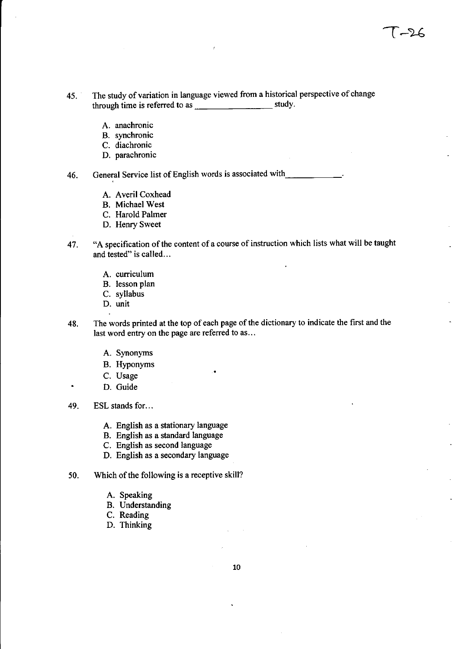- 45. The study of variation in language viewed from a historical perspective of change through time is referred to as study.
	- A. anachronic
	- B. synchronic
	- C. diachronic
	- D. parachronic

46. General Service list of English words is associated with \_\_\_\_\_\_\_\_\_\_\_\_.

- A. Averil Coxhead
- B. Michael West
- C. Harold Palmer
- D. Henry Sweet
- 47. "A specification of the content of a course of instruction which lists what will be taught and tested" is called...
	- A. curriculum
	- B. lesson plan
	- C. syllabus
	- D. unit
- 48. The words printed at the top of each page of the dictionary to indicate the first and the last word entry on the page are referred to as...
	- A. Synonyms
	- B. Hyponyms
	- C. Usage
	- D. Guide
- 49. ESL stands for ...
	- A. English as a stationary language
	- B. English as a standard language
	- C. English as second language
	- D. English as a secondary language
- 50. Which of the following is a receptive skill?
	- A. Speaking
	- B. Understanding
	- C. Reading
	- D. Thinking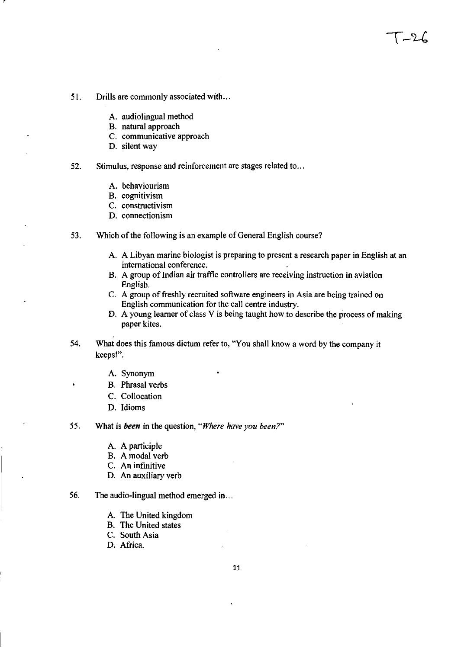- 51. Drills are commonly associated with ...
	- A. audiolingual method
	- B. natural approach
	- C. communicative approach
	- D. silent way

r

#### 52. Stimulus, response and reinforcement are stages related to ...

- A. behaviourism
- B. cognitivism
- C. constructivism
- D. connectionism
- 53. Which of the following is an example of General English course?
	- A. A Libyan marine biologist is preparing to present a research paper in English at an international conference.

 $-21$ 

- B. A group of Indian air traffic controllers are receiving instruction in aviation English.
- C. A group of freshly recruited software engineers in Asia are being trained on English communication for the call centre industry.
- D. A young learner of class V is being taught how to describe the process of making paper kites.
- 54. What does this famous dictum refer to, "You shall know a word by the company it keeps!".
	- A. Synonym
	- B. Phrasal verbs
	- C. Collocation
	- D. Idioms

#### 55. What is *been* in the question, *"Where have you been?"*

- A. A participle
- B. A modal verb
- C. An infinitive
- D. An auxiliary verb

### 56. The audio-lingual method emerged in ...

- A. The United kingdom
- B. The United states
- C. South Asia
- D. Africa.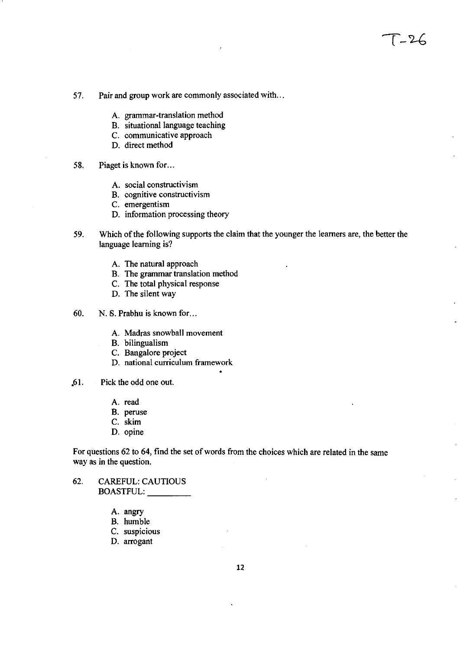- 57. Pair and group work are commonly associated with ...
	- A. grammar-translation method
	- B. situational language teaching
	- C. communicative approach
	- D. direct method
- 58. Piaget is known for...
	- A. social constructivism
	- B. cognitive constructivism
	- C. emergentism
	- D. information processing theory
- 59. Which of the following supports the claim that the younger the learners are, the better the language learning is?
	- A. The natural approach
	- B. The grammar translation method
	- C. The total physical response
	- D. The silent way
- 60. N. 8. Prabhu is known for ...
	- A. Madras snowball movement
	- B. bilingualism
	- C. Bangalore project
	- D. national curriculum framework
- .61. Pick the odd one out.
	- A. read
	- B. peruse
	- C. skim
	- D. opine

For questions 62 to 64, find the set of words from the choices which are related in the same way as in the question.

- 62. CAREFUL: CAUTIOUS BOASTFUL: \_\_\_ \_
	- A. angry
	- B. humble
	- C. suspicious
	- D. arrogant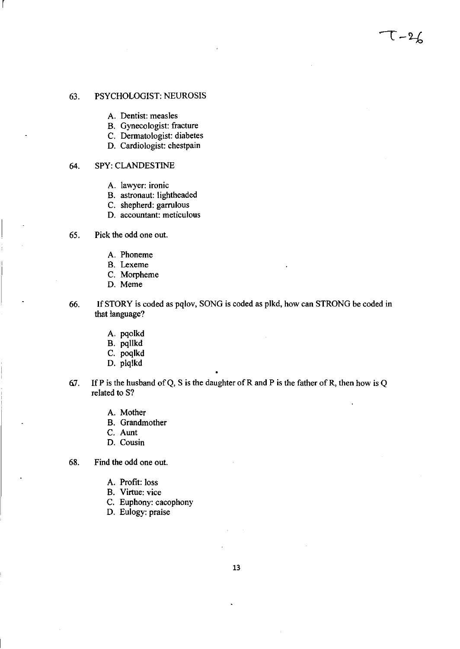- A. Dentist: measles
- B. Gynecologist: fracture
- C. Dermatologist: diabetes
- D. Cardiologist: chestpain

### 64. SPY: CLANDESTINE

r

- A. lawyer: ironic
- B. astronaut: lightheaded
- C. shepherd: garrulous
- D. accountant: meticulous
- 65. Pick the odd one out.
	- A. Phoneme
	- B. Lexeme
	- C. Morpheme
	- D. Meme
- 66. If STORY is coded as pqlov, SONG is coded as plkd, how can STRONG be coded in that language?

 $T - 26$ 

- A. pqolkd
- B. pqllkd
- C. poqlkd
- D. plqlkd
- 6.7. If P is the husband of Q, S is the daughter of R and P is the father of R, then how is Q related to S?
	- A. Mother
	- B. Grandmother
	- C. Aunt
	- D. Cousin
- 68. Find the odd one out.
	- A. Profit: loss
	- B. Virtue: vice
	- C. Euphony: cacophony
	- D. Eulogy: praise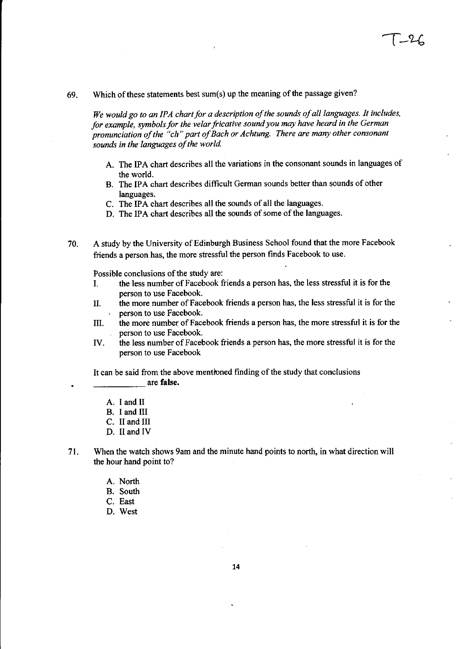69. Which of these statements best sum(s) up the meaning of the passage given?

*We would* go *to an IP A chart for a description of the sounds of all languages. It includes. for example. symbols for the velar fricative sound you may have heard in the German pronunciation of the "ch·· part of Bach or Achtung. There are many other consonant sounds in the languages of the world.* 

- A. The IPA chart describes all the variations in the consonant sounds in languages of the world.
- B. The IPA chart describes difficult German sounds better than sounds of other languages.
- c. The IPA chart describes all the sounds of all the languages.
- D. The IPA chart describes all the sounds of some of the languages.

70. A study by the University of Edinburgh Business School found that the more Facebook friends a person has, the more stressful the person finds Facebook to use.

Possible conclusions of the study are:

- I. the less number of Facebook friends a person has, the less stressful it is for the person to use Facebook.
- II. the more number of Facebook friends a person has, the less stressful it is for the person to use Facebook.
- III. the more number of Facebook friends a person has, the more stressful it is for the person to use Facebook.
- IV. the less number of Facebook friends a person has, the more stressful it is for the person to use Facebook

It can be said from the above mentioned finding of the study that conclusions are **false**.

- A. I and II
- B. I and III
- C. II and III
- D. II and IV
- 71. When the watch shows 9am and the minute hand points to north, in what direction will the hour hand point to?
	- A. North
	- B. South
	- C. East
	- D. West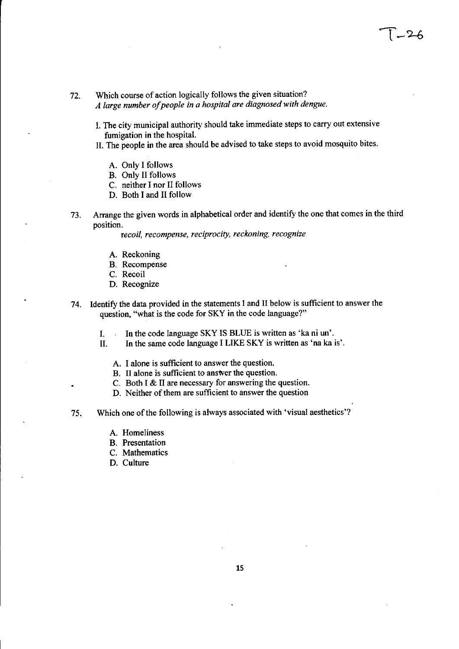72. Which course of action logically follows the given situation? *A large number of people in a hospital are diagnosed with dengue.* 

- I. The city municipal authority should take immediate steps to carry out extensive fumigation in the hospital.
- II. The people in the area should be advised to take steps to avoid mosquito bites.
	- A. Only I follows
	- B. Only II follows
	- C. neither I nor II follows
	- D. Both I and II follow
- 73. Arrange the given words in alphabetical order and identify the one that comes in the third position.

recoil, recompense, reciprocity, reckoning, recognize

- A. Reckoning
- B. Recompense
- C. Recoil
- D. Recognize
- 74. Identify the data provided in the statements I and II below is sufficient to answer the question, "what is the code for SKY in the code language?"
	- I. In the code language SKY IS BLUE is written as 'ka ni un'.
	- II. In the same code language I LIKE SKY is written as 'na ka is'.
		- A. I alone is sufficient to answer the question.
		- B. II alone is sufficient to answer the question.
		- C. Both I & II are necessary for answering the question.
		- D. Neither of them are sufficient to answer the question
- 75. Which one of the following is always associated with 'visual aesthetics'?
	- A. Homeliness
	- B. Presentation
	- C. Mathematics
	- D. Culture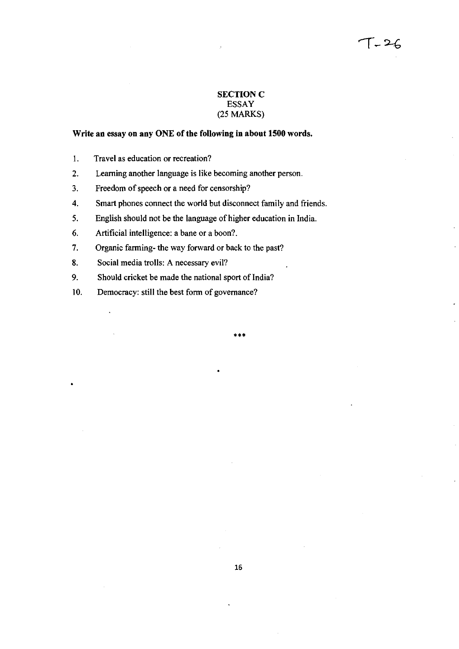## **SECTION C** ESSAY (25 MARKS)

## Write an essay on any ONE of the following in about 1500 words.

- I. Travel as education or recreation?
- 2. Learning another language is like becoming another person.
- 3. Freedom of speech or a need for censorship?
- 4. Smart phones connect the world but disconnect family and friends.
- 5. English should not be the language of higher education in India.
- 6. Artificial intelligence: a bane or a boon?
- 7. Organic farming- the way forward or back to the past?
- 8. Social media trolls: A necessary evil?
- 9. Should cricket be made the national sport of India?
- 10. Democracy: still the best form of governance?

•••